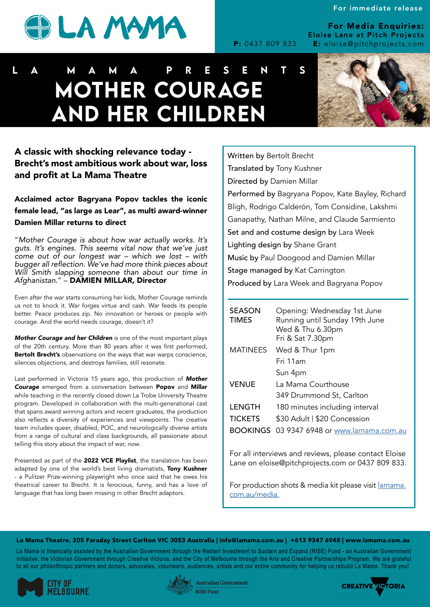

For Media Enquiries: Eloise Lane at Pitch Projects P: 0437 809 833 E: eloise@pitchprojects.com

## A classic with shocking relevance today - Brecht's most ambitious work about war, loss and profit at La Mama Theatre

Acclaimed actor Bagryana Popov tackles the iconic female lead, "as large as Lear", as multi award-winner Damien Millar returns to direct

"*Mother Courage is about how war actually works. It's guts. It's engines. This seems vital now that we've just come out of our longest war – which we lost – with*  bugger all reflection. We've had more think pieces about Will Smith slapping someone than about our time in *Afghanistan.*" – DAMIEN MILLAR, Director

Even after the war starts consuming her kids, Mother Courage reminds us not to knock it. War forges virtue and cash. War feeds its people better. Peace produces zip. No innovation or heroes or people with courage. And the world needs courage, doesn't it?

Presented as part of the 2022 VCE Playlist, the translation has been adapted by one of the world's best living dramatists, Tony Kushner - a Pulitzer Prize-winning playwright who once said that he owes his theatrical career to Brecht. It is ferocious, funny, and has a love of language that has long been missing in other Brecht adaptors.

*Mother Courage and her Children* is one of the most important plays of the 20th century. More than 80 years after it was first performed, Bertolt Brecht's observations on the ways that war warps conscience, silences objections, and destroys families, still resonate.

Last performed in Victoria 15 years ago, this production of *Mother Courage* emerged from a conversation between Popov and Millar while teaching in the recently closed down La Trobe University Theatre program. Developed in collaboration with the multi-generational cast that spans award winning actors and recent graduates, the production also reflects a diversity of experiences and viewpoints. The creative team includes queer, disabled, POC, and neurologically diverse artists from a range of cultural and class backgrounds, all passionate about telling this story about the impact of war, *now*.

For production shots & media kit please visit *lamama*. [com.au/media.](http://lamama.com.au/media)

### La Mama Theatre, 205 Faraday Street Carlton VIC 3053 Australia | info@lamama.com.au | +613 9347 6948 | www.lamama.com.au

La Mama is financially assisted by the Australian Government through the Restart Investment to Sustain and Expand (RISE) Fund - an Australian Government initiative, the Victorian Government through Creative Victoria, and the City of Melbourne through the Arts and Creative Partnerships Program. We are grateful to all our philanthropic partners and donors, advocates, volunteers, audiences, artists and our entire community for helping us rebuild La Mama. Thank you!







## La Ma m a Presents MOTHER COURAGE AND HER CHILDREN

| <b>SEASON</b><br><b>TIMES</b> | Opening: Wednesday 1st June<br>Running until Sunday 19th June<br>Wed & Thu 6.30pm<br>Fri & Sat 7.30pm |
|-------------------------------|-------------------------------------------------------------------------------------------------------|
| <b>MATINEES</b>               | Wed & Thur 1pm                                                                                        |
|                               | Fri 11am                                                                                              |
|                               | Sun 4pm                                                                                               |
| <b>VENUE</b>                  | La Mama Courthouse                                                                                    |
|                               | 349 Drummond St, Carlton                                                                              |
| <b>LENGTH</b>                 | 180 minutes including interval                                                                        |
| <b>TICKETS</b>                | \$30 Adult   \$20 Concession                                                                          |
|                               | BOOKINGS 03 9347 6948 or www.lamama.com.au                                                            |

For all interviews and reviews, please contact Eloise

Lane on eloise@pitchprojects.com or 0437 809 833.

Written by Bertolt Brecht Translated by Tony Kushner Directed by Damien Millar Performed by Bagryana Popov, Kate Bayley, Richard Bligh, Rodrigo Calderón, Tom Considine, Lakshmi Ganapathy, Nathan Milne, and Claude Sarmiento Set and and costume design by Lara Week Lighting design by Shane Grant Music by Paul Doogood and Damien Millar Stage managed by Kat Carrington Produced by Lara Week and Bagryana Popov